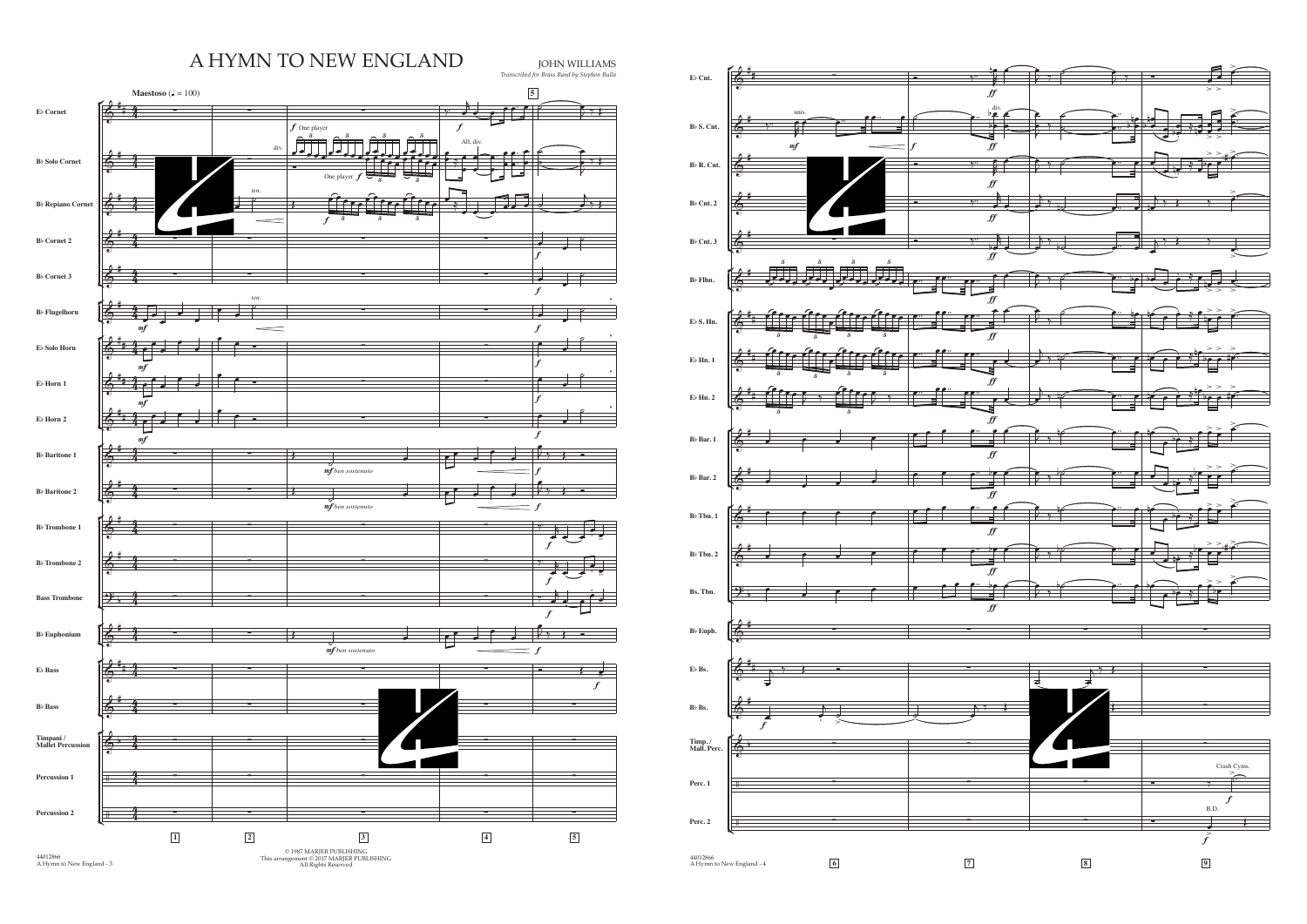

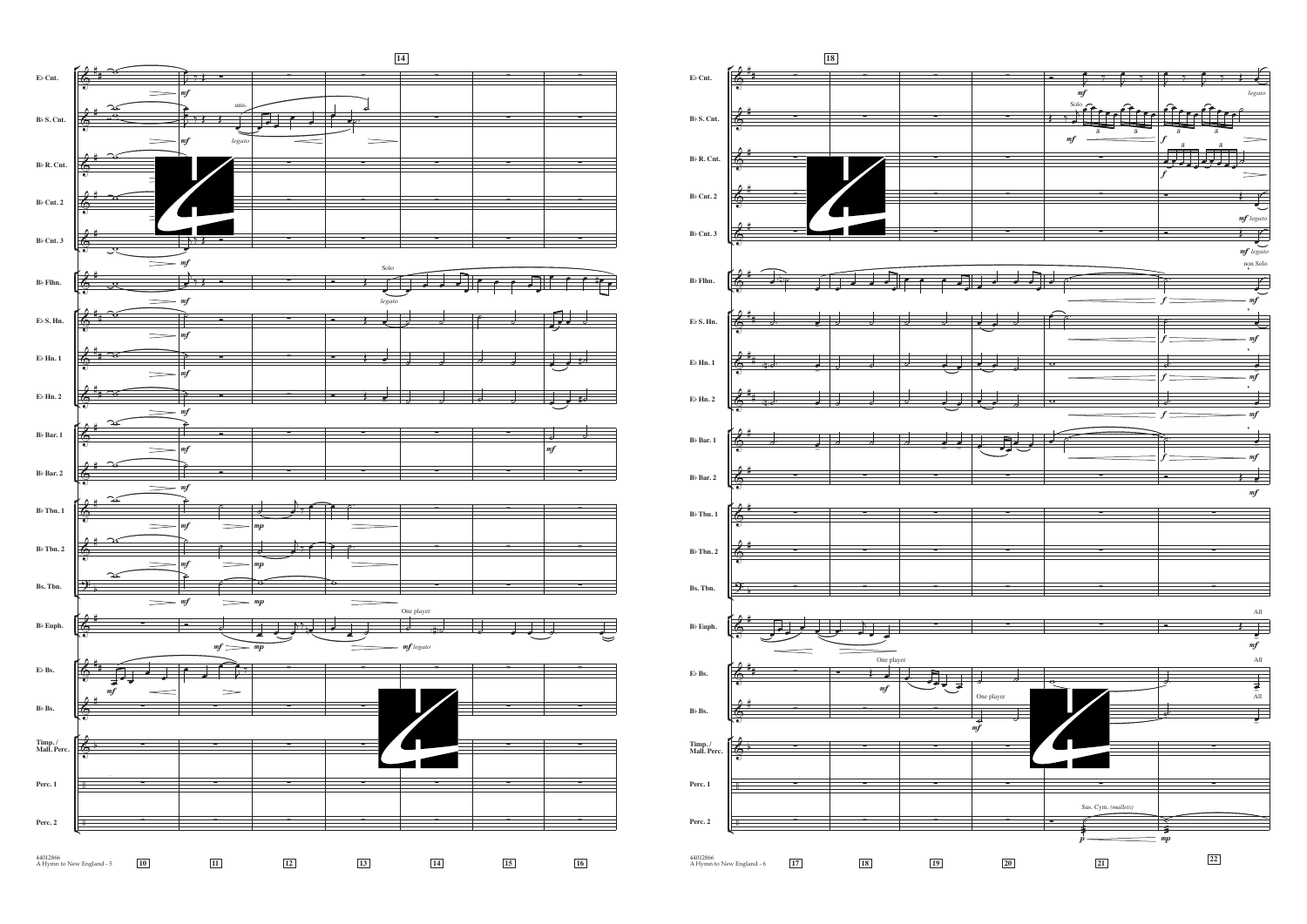

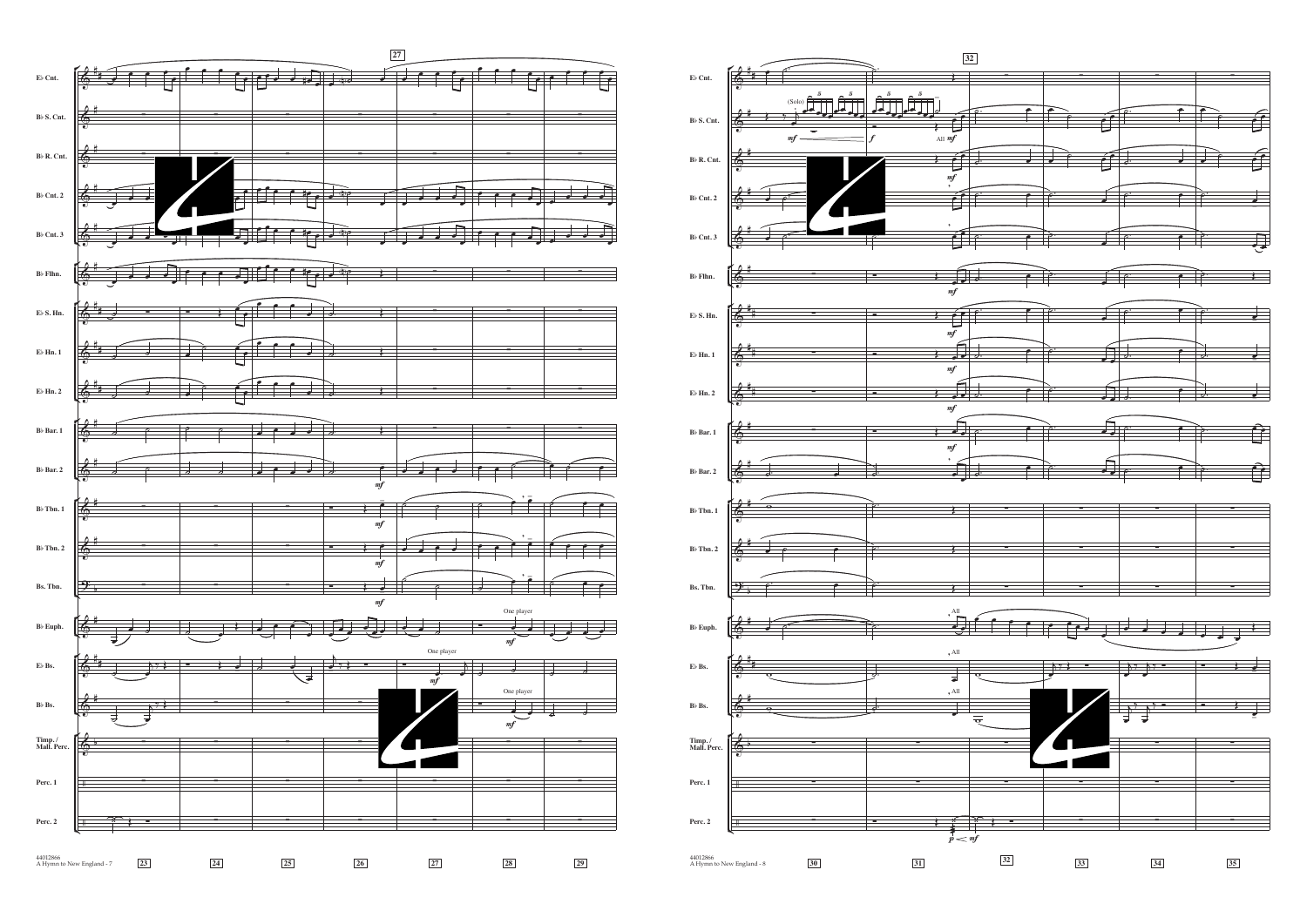

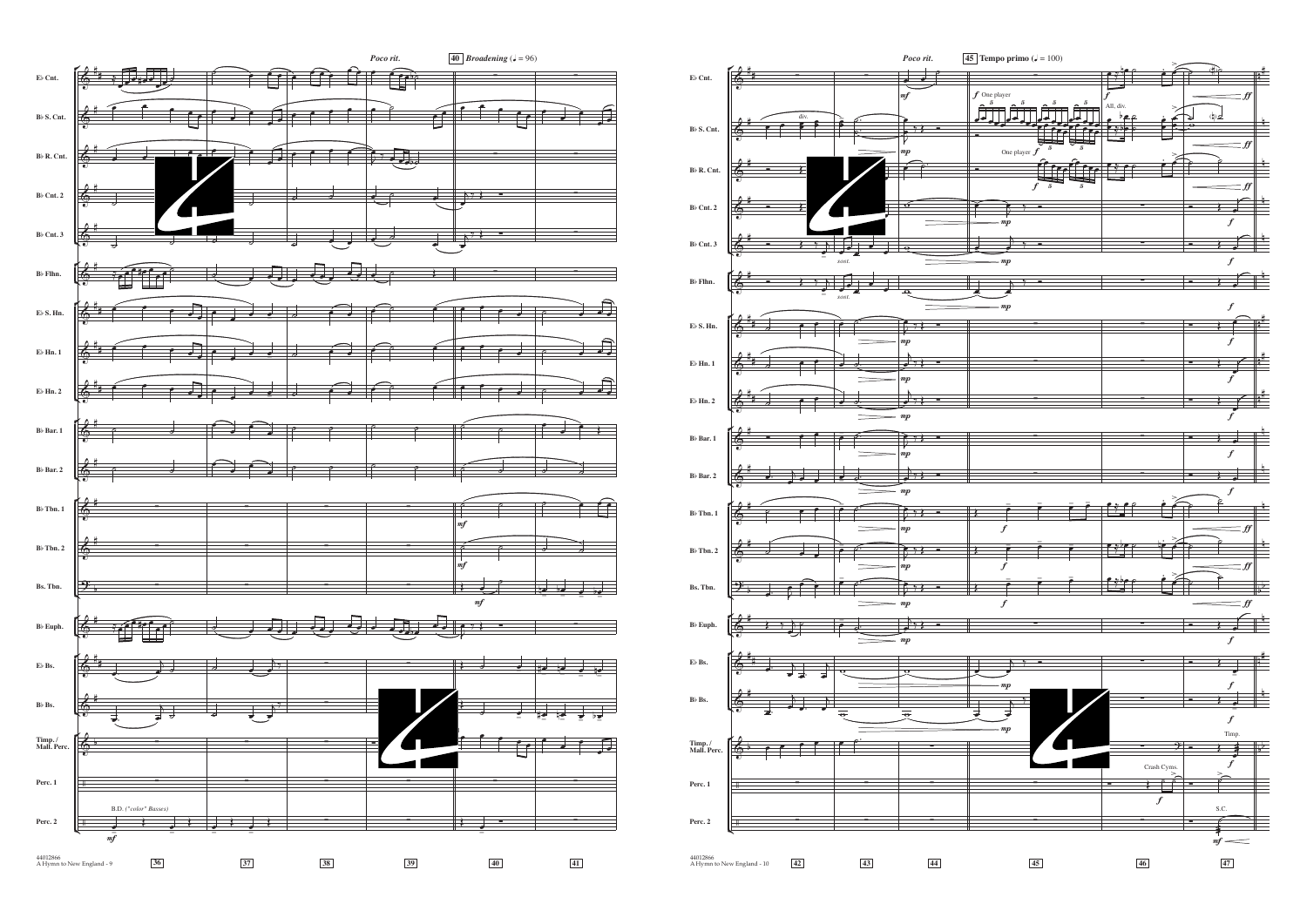